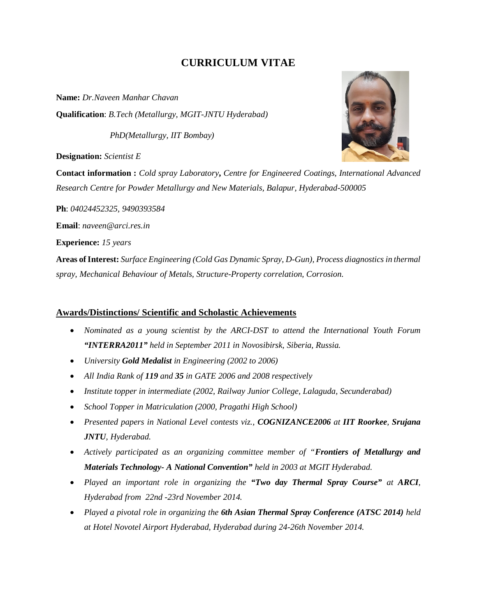# **CURRICULUM VITAE**

**Name:** *Dr.Naveen Manhar Chavan* **Qualification**: *B.Tech (Metallurgy, MGIT-JNTU Hyderabad)*

 *PhD(Metallurgy, IIT Bombay)*

**Designation:** *Scientist E*

**Contact information :** *Cold spray Laboratory***,** *Centre for Engineered Coatings, International Advanced Research Centre for Powder Metallurgy and New Materials, Balapur, Hyderabad-500005*

**Ph**: *04024452325, 9490393584*

**Email**: *naveen@arci.res.in*

**Experience:** *15 years*

**Areas of Interest:** *Surface Engineering (Cold Gas Dynamic Spray, D-Gun), Process diagnostics in thermal spray, Mechanical Behaviour of Metals, Structure-Property correlation, Corrosion.*

### **Awards/Distinctions/ Scientific and Scholastic Achievements**

- *Nominated as a young scientist by the ARCI-DST to attend the International Youth Forum "INTERRA2011" held in September 2011 in Novosibirsk, Siberia, Russia.*
- *University Gold Medalist in Engineering (2002 to 2006)*
- *All India Rank of 119 and 35 in GATE 2006 and 2008 respectively*
- *Institute topper in intermediate (2002, Railway Junior College, Lalaguda, Secunderabad)*
- *School Topper in Matriculation (2000, Pragathi High School)*
- *Presented papers in National Level contests viz., COGNIZANCE2006 at IIT Roorkee, Srujana JNTU, Hyderabad.*
- *Actively participated as an organizing committee member of "Frontiers of Metallurgy and Materials Technology- A National Convention" held in 2003 at MGIT Hyderabad.*
- *Played an important role in organizing the "Two day Thermal Spray Course" at ARCI, Hyderabad from 22nd -23rd November 2014.*
- *Played a pivotal role in organizing the 6th Asian Thermal Spray Conference (ATSC 2014) held at Hotel Novotel Airport Hyderabad, Hyderabad during 24-26th November 2014.*

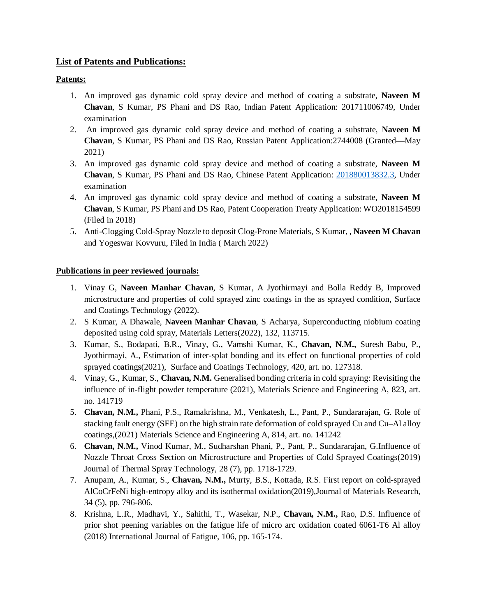## **List of Patents and Publications:**

## **Patents:**

- 1. An improved gas dynamic cold spray device and method of coating a substrate, **Naveen M Chavan**, S Kumar, PS Phani and DS Rao, Indian Patent Application: 201711006749, Under examination
- 2. An improved gas dynamic cold spray device and method of coating a substrate, **Naveen M Chavan**, S Kumar, PS Phani and DS Rao, Russian Patent Application:2744008 (Granted—May 2021)
- 3. An improved gas dynamic cold spray device and method of coating a substrate, **Naveen M Chavan**, S Kumar, PS Phani and DS Rao, Chinese Patent Application: 201880013832.3, Under examination
- 4. An improved gas dynamic cold spray device and method of coating a substrate, **Naveen M Chavan**, S Kumar, PS Phani and DS Rao, Patent Cooperation Treaty Application: WO2018154599 (Filed in 2018)
- 5. Anti-Clogging Cold-Spray Nozzle to deposit Clog-Prone Materials, S Kumar, , **Naveen M Chavan** and Yogeswar Kovvuru, Filed in India ( March 2022)

#### **Publications in peer reviewed journals:**

- 1. Vinay G, **Naveen Manhar Chavan**, S Kumar, A Jyothirmayi and Bolla Reddy B, Improved microstructure and properties of cold sprayed zinc coatings in the as sprayed condition, Surface and Coatings Technology (2022).
- 2. S Kumar, A Dhawale, **Naveen Manhar Chavan**, S Acharya, Superconducting niobium coating deposited using cold spray, Materials Letters(2022), 132, 113715.
- 3. Kumar, S., Bodapati, B.R., Vinay, G., Vamshi Kumar, K., **Chavan, N.M.,** Suresh Babu, P., Jyothirmayi, A., Estimation of inter-splat bonding and its effect on functional properties of cold sprayed coatings(2021), Surface and Coatings Technology, 420, art. no. 127318.
- 4. Vinay, G., Kumar, S., **Chavan, N.M.** Generalised bonding criteria in cold spraying: Revisiting the influence of in-flight powder temperature (2021), Materials Science and Engineering A, 823, art. no. 141719
- 5. **Chavan, N.M.,** Phani, P.S., Ramakrishna, M., Venkatesh, L., Pant, P., Sundararajan, G. Role of stacking fault energy (SFE) on the high strain rate deformation of cold sprayed Cu and Cu–Al alloy coatings,(2021) Materials Science and Engineering A, 814, art. no. 141242
- 6. **Chavan, N.M.,** Vinod Kumar, M., Sudharshan Phani, P., Pant, P., Sundararajan, G.Influence of Nozzle Throat Cross Section on Microstructure and Properties of Cold Sprayed Coatings(2019) Journal of Thermal Spray Technology, 28 (7), pp. 1718-1729.
- 7. Anupam, A., Kumar, S., **Chavan, N.M.,** Murty, B.S., Kottada, R.S. First report on cold-sprayed AlCoCrFeNi high-entropy alloy and its isothermal oxidation(2019),Journal of Materials Research, 34 (5), pp. 796-806.
- 8. Krishna, L.R., Madhavi, Y., Sahithi, T., Wasekar, N.P., **Chavan, N.M.,** Rao, D.S. Influence of prior shot peening variables on the fatigue life of micro arc oxidation coated 6061-T6 Al alloy (2018) International Journal of Fatigue, 106, pp. 165-174.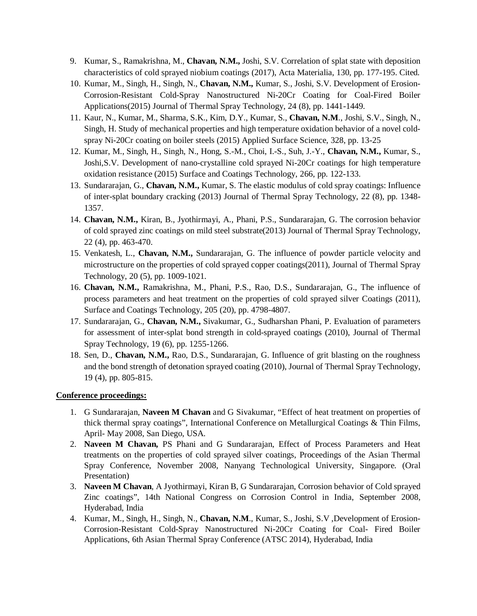- 9. Kumar, S., Ramakrishna, M., **Chavan, N.M.,** Joshi, S.V. Correlation of splat state with deposition characteristics of cold sprayed niobium coatings (2017), Acta Materialia, 130, pp. 177-195. Cited.
- 10. Kumar, M., Singh, H., Singh, N., **Chavan, N.M.,** Kumar, S., Joshi, S.V. Development of Erosion-Corrosion-Resistant Cold-Spray Nanostructured Ni-20Cr Coating for Coal-Fired Boiler Applications(2015) Journal of Thermal Spray Technology, 24 (8), pp. 1441-1449.
- 11. Kaur, N., Kumar, M., Sharma, S.K., Kim, D.Y., Kumar, S., **Chavan, N.M**., Joshi, S.V., Singh, N., Singh, H. Study of mechanical properties and high temperature oxidation behavior of a novel coldspray Ni-20Cr coating on boiler steels (2015) Applied Surface Science, 328, pp. 13-25
- 12. Kumar, M., Singh, H., Singh, N., Hong, S.-M., Choi, I.-S., Suh, J.-Y., **Chavan, N.M.,** Kumar, S., Joshi,S.V. Development of nano-crystalline cold sprayed Ni-20Cr coatings for high temperature oxidation resistance (2015) Surface and Coatings Technology, 266, pp. 122-133.
- 13. Sundararajan, G., **Chavan, N.M.,** Kumar, S. The elastic modulus of cold spray coatings: Influence of inter-splat boundary cracking (2013) Journal of Thermal Spray Technology, 22 (8), pp. 1348- 1357.
- 14. **Chavan, N.M.,** Kiran, B., Jyothirmayi, A., Phani, P.S., Sundararajan, G. The corrosion behavior of cold sprayed zinc coatings on mild steel substrate(2013) Journal of Thermal Spray Technology, 22 (4), pp. 463-470.
- 15. Venkatesh, L., **Chavan, N.M.,** Sundararajan, G. The influence of powder particle velocity and microstructure on the properties of cold sprayed copper coatings(2011), Journal of Thermal Spray Technology, 20 (5), pp. 1009-1021.
- 16. **Chavan, N.M.,** Ramakrishna, M., Phani, P.S., Rao, D.S., Sundararajan, G., The influence of process parameters and heat treatment on the properties of cold sprayed silver Coatings (2011), Surface and Coatings Technology, 205 (20), pp. 4798-4807.
- 17. Sundararajan, G., **Chavan, N.M.,** Sivakumar, G., Sudharshan Phani, P. Evaluation of parameters for assessment of inter-splat bond strength in cold-sprayed coatings (2010), Journal of Thermal Spray Technology, 19 (6), pp. 1255-1266.
- 18. Sen, D., **Chavan, N.M.,** Rao, D.S., Sundararajan, G. Influence of grit blasting on the roughness and the bond strength of detonation sprayed coating (2010), Journal of Thermal Spray Technology, 19 (4), pp. 805-815.

#### **Conference proceedings:**

- 1. G Sundararajan, **Naveen M Chavan** and G Sivakumar, "Effect of heat treatment on properties of thick thermal spray coatings", International Conference on Metallurgical Coatings & Thin Films, April- May 2008, San Diego, USA.
- 2. **Naveen M Chavan,** PS Phani and G Sundararajan, Effect of Process Parameters and Heat treatments on the properties of cold sprayed silver coatings, Proceedings of the Asian Thermal Spray Conference, November 2008, Nanyang Technological University, Singapore. (Oral Presentation)
- 3. **Naveen M Chavan**, A Jyothirmayi, Kiran B, G Sundararajan, Corrosion behavior of Cold sprayed Zinc coatings", 14th National Congress on Corrosion Control in India, September 2008, Hyderabad, India
- 4. Kumar, M., Singh, H., Singh, N., **Chavan, N.M**., Kumar, S., Joshi, S.V ,Development of Erosion-Corrosion-Resistant Cold-Spray Nanostructured Ni-20Cr Coating for Coal- Fired Boiler Applications, 6th Asian Thermal Spray Conference (ATSC 2014), Hyderabad, India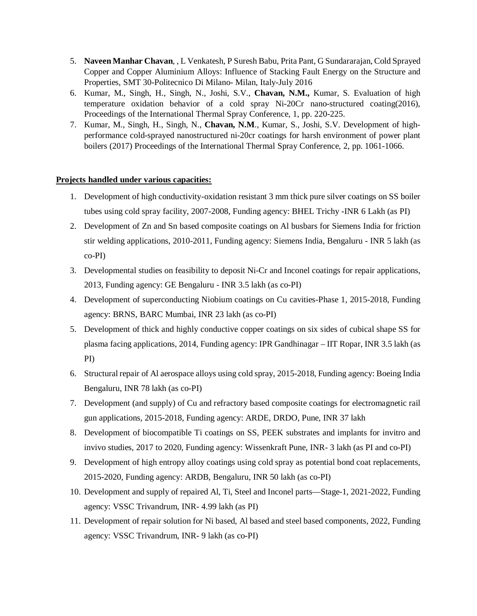- 5. **Naveen Manhar Chavan**, , L Venkatesh, P Suresh Babu, Prita Pant, G Sundararajan, Cold Sprayed Copper and Copper Aluminium Alloys: Influence of Stacking Fault Energy on the Structure and Properties, SMT 30-Politecnico Di Milano- Milan, Italy-July 2016
- 6. Kumar, M., Singh, H., Singh, N., Joshi, S.V., **Chavan, N.M.,** Kumar, S. Evaluation of high temperature oxidation behavior of a cold spray Ni-20Cr nano-structured coating(2016), Proceedings of the International Thermal Spray Conference, 1, pp. 220-225.
- 7. Kumar, M., Singh, H., Singh, N., **Chavan, N.M**., Kumar, S., Joshi, S.V. Development of highperformance cold-sprayed nanostructured ni-20cr coatings for harsh environment of power plant boilers (2017) Proceedings of the International Thermal Spray Conference, 2, pp. 1061-1066.

#### **Projects handled under various capacities:**

- 1. Development of high conductivity-oxidation resistant 3 mm thick pure silver coatings on SS boiler tubes using cold spray facility, 2007-2008, Funding agency: BHEL Trichy -INR 6 Lakh (as PI)
- 2. Development of Zn and Sn based composite coatings on Al busbars for Siemens India for friction stir welding applications, 2010-2011, Funding agency: Siemens India, Bengaluru - INR 5 lakh (as co-PI)
- 3. Developmental studies on feasibility to deposit Ni-Cr and Inconel coatings for repair applications, 2013, Funding agency: GE Bengaluru - INR 3.5 lakh (as co-PI)
- 4. Development of superconducting Niobium coatings on Cu cavities-Phase 1, 2015-2018, Funding agency: BRNS, BARC Mumbai, INR 23 lakh (as co-PI)
- 5. Development of thick and highly conductive copper coatings on six sides of cubical shape SS for plasma facing applications, 2014, Funding agency: IPR Gandhinagar – IIT Ropar, INR 3.5 lakh (as PI)
- 6. Structural repair of Al aerospace alloys using cold spray, 2015-2018, Funding agency: Boeing India Bengaluru, INR 78 lakh (as co-PI)
- 7. Development (and supply) of Cu and refractory based composite coatings for electromagnetic rail gun applications, 2015-2018, Funding agency: ARDE, DRDO, Pune, INR 37 lakh
- 8. Development of biocompatible Ti coatings on SS, PEEK substrates and implants for invitro and invivo studies, 2017 to 2020, Funding agency: Wissenkraft Pune, INR- 3 lakh (as PI and co-PI)
- 9. Development of high entropy alloy coatings using cold spray as potential bond coat replacements, 2015-2020, Funding agency: ARDB, Bengaluru, INR 50 lakh (as co-PI)
- 10. Development and supply of repaired Al, Ti, Steel and Inconel parts—Stage-1, 2021-2022, Funding agency: VSSC Trivandrum, INR- 4.99 lakh (as PI)
- 11. Development of repair solution for Ni based, Al based and steel based components, 2022, Funding agency: VSSC Trivandrum, INR- 9 lakh (as co-PI)